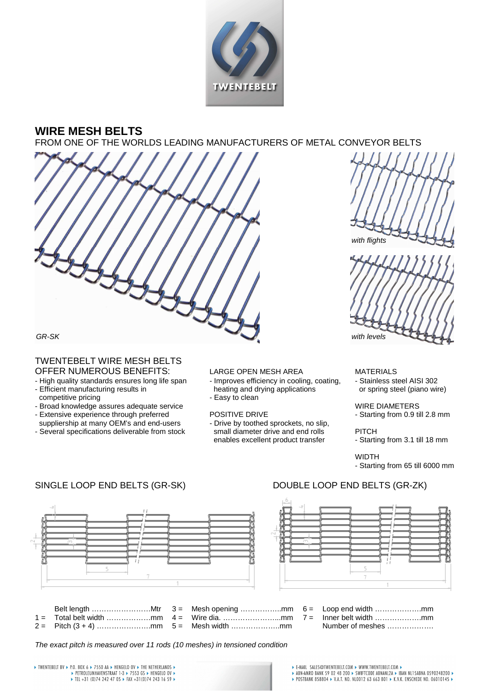

## **WIRE MESH BELTS**

FROM ONE OF THE WORLDS LEADING MANUFACTURERS OF METAL CONVEYOR BELTS







## GR-SK

# TWENTEBELT WIRE MESH BELTS

- OFFER NUMEROUS BENEFITS:<br>
High quality standards ensures long life span Improves efficiency in cooling, coating, Stainless steel AISI 302 - High quality standards ensures long life span
- Efficient manufacturing results in heating and drying applications or spring steel (piano wire) competitive pricing  $\overline{\phantom{a}}$  - Easy to clean
- Broad knowledge assures adequate service WIRE DIAMETERS
- Extensive experience through preferred POSITIVE DRIVE Starting from 0.9 till 2.8 mm
- Several specifications deliverable from stock small diameter drive and end rolls PITCH

- -

suppliership at many OEM's and end-users - Drive by toothed sprockets, no slip,<br>Several specifications deliverable from stock small diameter drive and end rolls enables excellent product transfer - Starting from 3.1 till 18 mm

WIDTH

- Starting from 65 till 6000 mm





# SINGLE LOOP END BELTS (GR-SK) DOUBLE LOOP END BELTS (GR-ZK)



The exact pitch is measured over 11 rods (10 meshes) in tensioned condition

→ TWENTEBELT BV → P.O. BOX 6 → 7550 AA → HENGELO OV → THE NETHERLANDS →<br>+ PETROLEUMHAVENSTRAAT 1-3 → 7553 GS → HENGELO OV →<br>+ TEL +31 (0)74 242 47 OS → FAX +31(0)74 243 16 59 →

# ▶ E-MAIL SALES@TWENTEBELT.COM ▶ WWW.TWENTEBELT.COM ▶<br>▶ ABN-AMRO BANK 59 02 48 200 ▶ SWIFTCODE ABNANL2A ▶ IBAN NL15ABNA 0590248200 ▶<br>▶ POSTBANK 858804 ▶ V.A.T. NO. NLO012 63 663 BO1 ▶ K.V.K. ENSCHEDE NO. 06010145 ▶